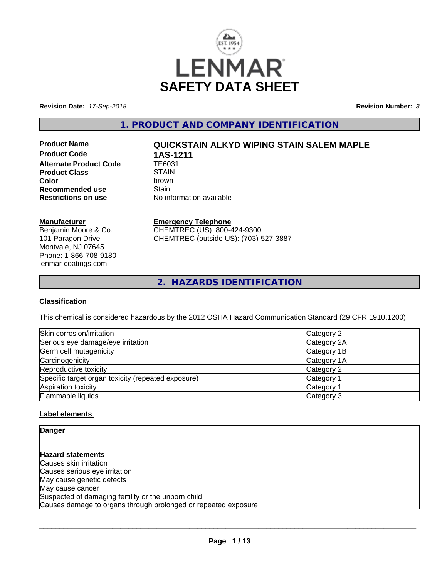

**Revision Date:** *17-Sep-2018* **Revision Number:** *3*

**1. PRODUCT AND COMPANY IDENTIFICATION**

**Product Code 1AS-1211**<br>Alternate Product Code 1E6031 **Alternate Product Code Product Class** STAIN<br> **Color** brown **Recommended use** Stain<br> **Restrictions on use** No inf

# **Product Name QUICKSTAIN ALKYD WIPING STAIN SALEM MAPLE**

**Color** brown **No information available** 

#### **Manufacturer**

Benjamin Moore & Co. 101 Paragon Drive Montvale, NJ 07645 Phone: 1-866-708-9180 lenmar-coatings.com

# **Emergency Telephone**

CHEMTREC (US): 800-424-9300 CHEMTREC (outside US): (703)-527-3887

**2. HAZARDS IDENTIFICATION**

### **Classification**

This chemical is considered hazardous by the 2012 OSHA Hazard Communication Standard (29 CFR 1910.1200)

| Skin corrosion/irritation                          | Category 2  |
|----------------------------------------------------|-------------|
| Serious eye damage/eye irritation                  | Category 2A |
| Germ cell mutagenicity                             | Category 1B |
| Carcinogenicity                                    | Category 1A |
| Reproductive toxicity                              | Category 2  |
| Specific target organ toxicity (repeated exposure) | Category 1  |
| Aspiration toxicity                                | Category 1  |
| Flammable liquids                                  | Category 3  |

### **Label elements**

**Danger**

**Hazard statements** Causes skin irritation Causes serious eye irritation May cause genetic defects May cause cancer Suspected of damaging fertility or the unborn child Causes damage to organs through prolonged or repeated exposure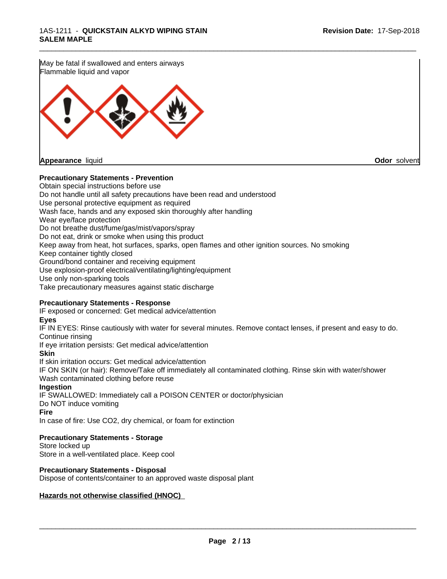May be fatal if swallowed and enters airways Flammable liquid and vapor



**Appearance** liquid **Odor** solvent

#### **Precautionary Statements - Prevention**

Obtain special instructions before use Do not handle until all safety precautions have been read and understood Use personal protective equipment as required Wash face, hands and any exposed skin thoroughly after handling Wear eye/face protection Do not breathe dust/fume/gas/mist/vapors/spray Do not eat, drink or smoke when using this product Keep away from heat, hot surfaces, sparks, open flames and other ignition sources. No smoking Keep container tightly closed Ground/bond container and receiving equipment Use explosion-proof electrical/ventilating/lighting/equipment Use only non-sparking tools Take precautionary measures against static discharge

\_\_\_\_\_\_\_\_\_\_\_\_\_\_\_\_\_\_\_\_\_\_\_\_\_\_\_\_\_\_\_\_\_\_\_\_\_\_\_\_\_\_\_\_\_\_\_\_\_\_\_\_\_\_\_\_\_\_\_\_\_\_\_\_\_\_\_\_\_\_\_\_\_\_\_\_\_\_\_\_\_\_\_\_\_\_\_\_\_\_\_\_\_

### **Precautionary Statements - Response**

IF exposed or concerned: Get medical advice/attention

#### **Eyes**

IF IN EYES: Rinse cautiously with water for several minutes. Remove contact lenses, if present and easy to do. Continue rinsing

If eye irritation persists: Get medical advice/attention

#### **Skin**

If skin irritation occurs: Get medical advice/attention

IF ON SKIN (or hair): Remove/Take off immediately all contaminated clothing. Rinse skin with water/shower Wash contaminated clothing before reuse

### **Ingestion**

IF SWALLOWED: Immediately call a POISON CENTER or doctor/physician Do NOT induce vomiting

#### **Fire**

In case of fire: Use CO2, dry chemical, or foam for extinction

### **Precautionary Statements - Storage**

Store locked up Store in a well-ventilated place. Keep cool

### **Precautionary Statements - Disposal**

Dispose of contents/container to an approved waste disposal plant

### **Hazards not otherwise classified (HNOC)**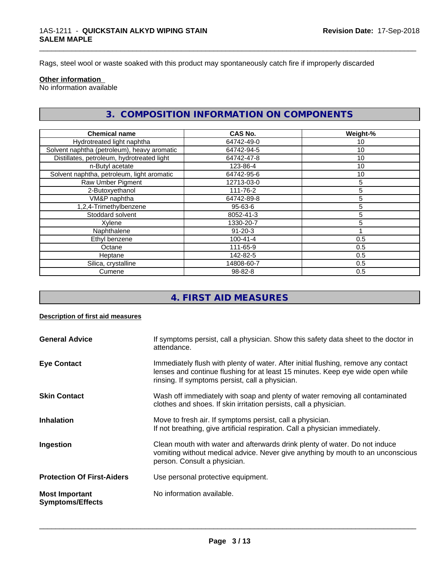Rags, steel wool or waste soaked with this product may spontaneously catch fire if improperly discarded

#### **Other information**

No information available

# **3. COMPOSITION INFORMATION ON COMPONENTS**

\_\_\_\_\_\_\_\_\_\_\_\_\_\_\_\_\_\_\_\_\_\_\_\_\_\_\_\_\_\_\_\_\_\_\_\_\_\_\_\_\_\_\_\_\_\_\_\_\_\_\_\_\_\_\_\_\_\_\_\_\_\_\_\_\_\_\_\_\_\_\_\_\_\_\_\_\_\_\_\_\_\_\_\_\_\_\_\_\_\_\_\_\_

| <b>Chemical name</b>                        | CAS No.        | Weight-% |
|---------------------------------------------|----------------|----------|
| Hydrotreated light naphtha                  | 64742-49-0     | 10       |
| Solvent naphtha (petroleum), heavy aromatic | 64742-94-5     | 10       |
| Distillates, petroleum, hydrotreated light  | 64742-47-8     | 10       |
| n-Butyl acetate                             | 123-86-4       | 10       |
| Solvent naphtha, petroleum, light aromatic  | 64742-95-6     | 10       |
| Raw Umber Pigment                           | 12713-03-0     | 5        |
| 2-Butoxyethanol                             | 111-76-2       | 5        |
| VM&P naphtha                                | 64742-89-8     | 5        |
| 1,2,4-Trimethylbenzene                      | $95 - 63 - 6$  | 5        |
| Stoddard solvent                            | 8052-41-3      | 5        |
| Xylene                                      | 1330-20-7      | 5        |
| Naphthalene                                 | $91 - 20 - 3$  |          |
| Ethyl benzene                               | $100 - 41 - 4$ | 0.5      |
| Octane                                      | 111-65-9       | 0.5      |
| Heptane                                     | 142-82-5       | 0.5      |
| Silica, crystalline                         | 14808-60-7     | 0.5      |
| Cumene                                      | $98 - 82 - 8$  | 0.5      |

# **4. FIRST AID MEASURES**

#### **Description of first aid measures**

| <b>General Advice</b>                            | If symptoms persist, call a physician. Show this safety data sheet to the doctor in<br>attendance.                                                                                                                      |
|--------------------------------------------------|-------------------------------------------------------------------------------------------------------------------------------------------------------------------------------------------------------------------------|
| <b>Eye Contact</b>                               | Immediately flush with plenty of water. After initial flushing, remove any contact<br>lenses and continue flushing for at least 15 minutes. Keep eye wide open while<br>rinsing. If symptoms persist, call a physician. |
| <b>Skin Contact</b>                              | Wash off immediately with soap and plenty of water removing all contaminated<br>clothes and shoes. If skin irritation persists, call a physician.                                                                       |
| <b>Inhalation</b>                                | Move to fresh air. If symptoms persist, call a physician.<br>If not breathing, give artificial respiration. Call a physician immediately.                                                                               |
| Ingestion                                        | Clean mouth with water and afterwards drink plenty of water. Do not induce<br>vomiting without medical advice. Never give anything by mouth to an unconscious<br>person. Consult a physician.                           |
| <b>Protection Of First-Aiders</b>                | Use personal protective equipment.                                                                                                                                                                                      |
| <b>Most Important</b><br><b>Symptoms/Effects</b> | No information available.                                                                                                                                                                                               |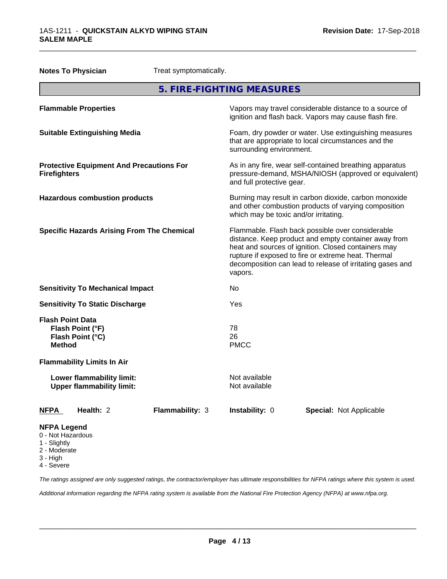| Treat symptomatically.<br><b>Notes To Physician</b>                     |                                                               |                                                                                                                                                                                                                                                                                                |                                                                                                                                                        |                                |  |
|-------------------------------------------------------------------------|---------------------------------------------------------------|------------------------------------------------------------------------------------------------------------------------------------------------------------------------------------------------------------------------------------------------------------------------------------------------|--------------------------------------------------------------------------------------------------------------------------------------------------------|--------------------------------|--|
|                                                                         |                                                               |                                                                                                                                                                                                                                                                                                | 5. FIRE-FIGHTING MEASURES                                                                                                                              |                                |  |
| <b>Flammable Properties</b>                                             |                                                               |                                                                                                                                                                                                                                                                                                | Vapors may travel considerable distance to a source of<br>ignition and flash back. Vapors may cause flash fire.                                        |                                |  |
| <b>Suitable Extinguishing Media</b>                                     |                                                               |                                                                                                                                                                                                                                                                                                | Foam, dry powder or water. Use extinguishing measures<br>that are appropriate to local circumstances and the<br>surrounding environment.               |                                |  |
| <b>Firefighters</b>                                                     | <b>Protective Equipment And Precautions For</b>               |                                                                                                                                                                                                                                                                                                | As in any fire, wear self-contained breathing apparatus<br>pressure-demand, MSHA/NIOSH (approved or equivalent)<br>and full protective gear.           |                                |  |
| <b>Hazardous combustion products</b>                                    |                                                               |                                                                                                                                                                                                                                                                                                | Burning may result in carbon dioxide, carbon monoxide<br>and other combustion products of varying composition<br>which may be toxic and/or irritating. |                                |  |
| <b>Specific Hazards Arising From The Chemical</b>                       |                                                               | Flammable. Flash back possible over considerable<br>distance. Keep product and empty container away from<br>heat and sources of ignition. Closed containers may<br>rupture if exposed to fire or extreme heat. Thermal<br>decomposition can lead to release of irritating gases and<br>vapors. |                                                                                                                                                        |                                |  |
|                                                                         | <b>Sensitivity To Mechanical Impact</b>                       |                                                                                                                                                                                                                                                                                                | No                                                                                                                                                     |                                |  |
|                                                                         | <b>Sensitivity To Static Discharge</b>                        |                                                                                                                                                                                                                                                                                                | Yes                                                                                                                                                    |                                |  |
| <b>Flash Point Data</b><br><b>Method</b>                                | Flash Point (°F)<br>Flash Point (°C)                          |                                                                                                                                                                                                                                                                                                | 78<br>26<br><b>PMCC</b>                                                                                                                                |                                |  |
|                                                                         | <b>Flammability Limits In Air</b>                             |                                                                                                                                                                                                                                                                                                |                                                                                                                                                        |                                |  |
|                                                                         | Lower flammability limit:<br><b>Upper flammability limit:</b> |                                                                                                                                                                                                                                                                                                | Not available<br>Not available                                                                                                                         |                                |  |
| <b>NFPA</b>                                                             | Health: 2                                                     | Flammability: 3                                                                                                                                                                                                                                                                                | Instability: 0                                                                                                                                         | <b>Special: Not Applicable</b> |  |
| <b>NFPA Legend</b><br>0 - Not Hazardous<br>1 - Slightly<br>2 - Moderate |                                                               |                                                                                                                                                                                                                                                                                                |                                                                                                                                                        |                                |  |

3 - High

4 - Severe

*The ratings assigned are only suggested ratings, the contractor/employer has ultimate responsibilities for NFPA ratings where this system is used.*

*Additional information regarding the NFPA rating system is available from the National Fire Protection Agency (NFPA) at www.nfpa.org.*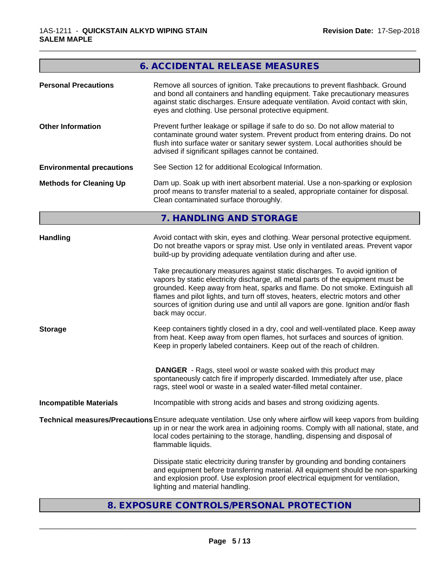# **6. ACCIDENTAL RELEASE MEASURES**

\_\_\_\_\_\_\_\_\_\_\_\_\_\_\_\_\_\_\_\_\_\_\_\_\_\_\_\_\_\_\_\_\_\_\_\_\_\_\_\_\_\_\_\_\_\_\_\_\_\_\_\_\_\_\_\_\_\_\_\_\_\_\_\_\_\_\_\_\_\_\_\_\_\_\_\_\_\_\_\_\_\_\_\_\_\_\_\_\_\_\_\_\_

| <b>Personal Precautions</b>       | Remove all sources of ignition. Take precautions to prevent flashback. Ground<br>and bond all containers and handling equipment. Take precautionary measures<br>against static discharges. Ensure adequate ventilation. Avoid contact with skin,<br>eyes and clothing. Use personal protective equipment.                                                                                                                                                                                                                                                                                                                                                                                                                                                                                                                                                                                                                                                                                                                                                                                              |
|-----------------------------------|--------------------------------------------------------------------------------------------------------------------------------------------------------------------------------------------------------------------------------------------------------------------------------------------------------------------------------------------------------------------------------------------------------------------------------------------------------------------------------------------------------------------------------------------------------------------------------------------------------------------------------------------------------------------------------------------------------------------------------------------------------------------------------------------------------------------------------------------------------------------------------------------------------------------------------------------------------------------------------------------------------------------------------------------------------------------------------------------------------|
| <b>Other Information</b>          | Prevent further leakage or spillage if safe to do so. Do not allow material to<br>contaminate ground water system. Prevent product from entering drains. Do not<br>flush into surface water or sanitary sewer system. Local authorities should be<br>advised if significant spillages cannot be contained.                                                                                                                                                                                                                                                                                                                                                                                                                                                                                                                                                                                                                                                                                                                                                                                             |
| <b>Environmental precautions</b>  | See Section 12 for additional Ecological Information.                                                                                                                                                                                                                                                                                                                                                                                                                                                                                                                                                                                                                                                                                                                                                                                                                                                                                                                                                                                                                                                  |
| <b>Methods for Cleaning Up</b>    | Dam up. Soak up with inert absorbent material. Use a non-sparking or explosion<br>proof means to transfer material to a sealed, appropriate container for disposal.<br>Clean contaminated surface thoroughly.                                                                                                                                                                                                                                                                                                                                                                                                                                                                                                                                                                                                                                                                                                                                                                                                                                                                                          |
|                                   | 7. HANDLING AND STORAGE                                                                                                                                                                                                                                                                                                                                                                                                                                                                                                                                                                                                                                                                                                                                                                                                                                                                                                                                                                                                                                                                                |
| <b>Handling</b><br><b>Storage</b> | Avoid contact with skin, eyes and clothing. Wear personal protective equipment.<br>Do not breathe vapors or spray mist. Use only in ventilated areas. Prevent vapor<br>build-up by providing adequate ventilation during and after use.<br>Take precautionary measures against static discharges. To avoid ignition of<br>vapors by static electricity discharge, all metal parts of the equipment must be<br>grounded. Keep away from heat, sparks and flame. Do not smoke. Extinguish all<br>flames and pilot lights, and turn off stoves, heaters, electric motors and other<br>sources of ignition during use and until all vapors are gone. Ignition and/or flash<br>back may occur.<br>Keep containers tightly closed in a dry, cool and well-ventilated place. Keep away<br>from heat. Keep away from open flames, hot surfaces and sources of ignition.<br>Keep in properly labeled containers. Keep out of the reach of children.<br><b>DANGER</b> - Rags, steel wool or waste soaked with this product may<br>spontaneously catch fire if improperly discarded. Immediately after use, place |
|                                   | rags, steel wool or waste in a sealed water-filled metal container.                                                                                                                                                                                                                                                                                                                                                                                                                                                                                                                                                                                                                                                                                                                                                                                                                                                                                                                                                                                                                                    |
| <b>Incompatible Materials</b>     | Incompatible with strong acids and bases and strong oxidizing agents.                                                                                                                                                                                                                                                                                                                                                                                                                                                                                                                                                                                                                                                                                                                                                                                                                                                                                                                                                                                                                                  |
|                                   | Technical measures/Precautions Ensure adequate ventilation. Use only where airflow will keep vapors from building<br>up in or near the work area in adjoining rooms. Comply with all national, state, and<br>local codes pertaining to the storage, handling, dispensing and disposal of<br>flammable liquids.                                                                                                                                                                                                                                                                                                                                                                                                                                                                                                                                                                                                                                                                                                                                                                                         |
|                                   | Dissipate static electricity during transfer by grounding and bonding containers<br>and equipment before transferring material. All equipment should be non-sparking<br>and explosion proof. Use explosion proof electrical equipment for ventilation,<br>lighting and material handling.                                                                                                                                                                                                                                                                                                                                                                                                                                                                                                                                                                                                                                                                                                                                                                                                              |

# **8. EXPOSURE CONTROLS/PERSONAL PROTECTION**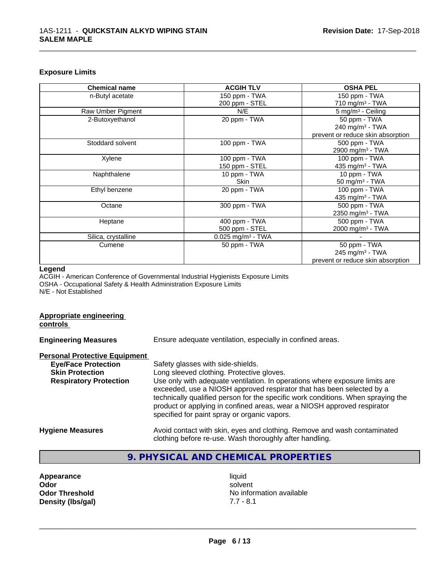#### **Exposure Limits**

| <b>Chemical name</b> | <b>ACGIH TLV</b>                | <b>OSHA PEL</b>                   |
|----------------------|---------------------------------|-----------------------------------|
| n-Butyl acetate      | 150 ppm - TWA                   | 150 ppm - TWA                     |
|                      | 200 ppm - STEL                  | 710 mg/m $3$ - TWA                |
| Raw Umber Pigment    | N/E                             | $5 \text{ mg/m}^3$ - Ceiling      |
| 2-Butoxyethanol      | 20 ppm - TWA                    | 50 ppm - TWA                      |
|                      |                                 | 240 mg/m <sup>3</sup> - TWA       |
|                      |                                 | prevent or reduce skin absorption |
| Stoddard solvent     | 100 ppm - TWA                   | 500 ppm - TWA                     |
|                      |                                 | 2900 mg/m <sup>3</sup> - TWA      |
| Xylene               | 100 ppm - TWA                   | 100 ppm - TWA                     |
|                      | 150 ppm - STEL                  | 435 mg/m <sup>3</sup> - TWA       |
| Naphthalene          | 10 ppm - TWA                    | 10 ppm - TWA                      |
|                      | <b>Skin</b>                     | 50 mg/m $3$ - TWA                 |
| Ethyl benzene        | 20 ppm - TWA                    | 100 ppm - TWA                     |
|                      |                                 | 435 mg/m <sup>3</sup> - TWA       |
| Octane               | 300 ppm - TWA                   | 500 ppm - TWA                     |
|                      |                                 | 2350 mg/m <sup>3</sup> - TWA      |
| Heptane              | 400 ppm - TWA                   | 500 ppm - TWA                     |
|                      | 500 ppm - STEL                  | 2000 mg/m <sup>3</sup> - TWA      |
| Silica, crystalline  | $0.025$ mg/m <sup>3</sup> - TWA |                                   |
| Cumene               | 50 ppm - TWA                    | 50 ppm - TWA                      |
|                      |                                 | 245 mg/m $3$ - TWA                |
|                      |                                 | prevent or reduce skin absorption |

\_\_\_\_\_\_\_\_\_\_\_\_\_\_\_\_\_\_\_\_\_\_\_\_\_\_\_\_\_\_\_\_\_\_\_\_\_\_\_\_\_\_\_\_\_\_\_\_\_\_\_\_\_\_\_\_\_\_\_\_\_\_\_\_\_\_\_\_\_\_\_\_\_\_\_\_\_\_\_\_\_\_\_\_\_\_\_\_\_\_\_\_\_

#### **Legend**

**Appropriate engineering**

ACGIH - American Conference of Governmental Industrial Hygienists Exposure Limits OSHA - Occupational Safety & Health Administration Exposure Limits N/E - Not Established

# **controls Engineering Measures** Ensure adequate ventilation, especially in confined areas. **Personal Protective Equipment**<br> **Eye/Face Protection** Safety glasses with side-shields. **Skin Protection** Long sleeved clothing. Protective gloves. **Respiratory Protection** Use only with adequate ventilation. In operations where exposure limits are exceeded, use a NIOSH approved respirator that has been selected by a technically qualified person for the specific work conditions. When spraying the product or applying in confined areas, wear a NIOSH approved respirator specified for paint spray or organic vapors. **Hygiene Measures** Avoid contact with skin, eyes and clothing. Remove and wash contaminated clothing before re-use. Wash thoroughly after handling.

# **9. PHYSICAL AND CHEMICAL PROPERTIES**

| Appearance            |
|-----------------------|
| Odor                  |
| <b>Odor Threshold</b> |
| Density (Ibs/gal)     |

**Appearance** and the contract of the contract of the contract of the contract of the contract of the contract of the contract of the contract of the contract of the contract of the contract of the contract of the contract **Odor** solvent **No information available Density (lbs/gal)** 7.7 - 8.1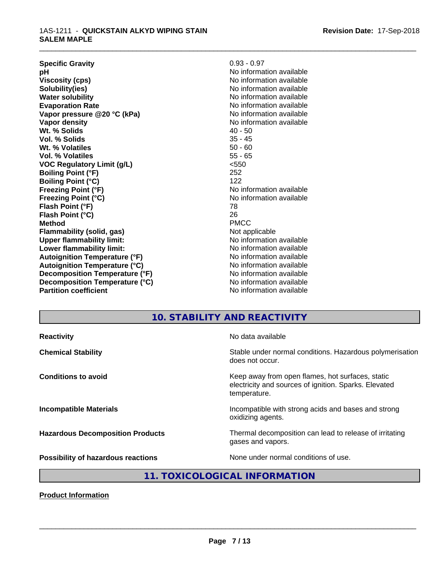#### 1AS-1211 - **QUICKSTAIN ALKYD WIPING STAIN SALEM MAPLE**

| <b>Specific Gravity</b>              | $0.93 - 0.97$            |
|--------------------------------------|--------------------------|
| рH                                   | No information available |
| <b>Viscosity (cps)</b>               | No information available |
| Solubility(ies)                      | No information available |
| <b>Water solubility</b>              | No information available |
| <b>Evaporation Rate</b>              | No information available |
| Vapor pressure @20 °C (kPa)          | No information available |
| Vapor density                        | No information available |
| Wt. % Solids                         | $40 - 50$                |
| Vol. % Solids                        | $35 - 45$                |
| Wt. % Volatiles                      | $50 - 60$                |
| Vol. % Volatiles                     | $55 - 65$                |
| <b>VOC Regulatory Limit (g/L)</b>    | < 550                    |
| <b>Boiling Point (°F)</b>            | 252                      |
| <b>Boiling Point (°C)</b>            | 122                      |
| <b>Freezing Point (°F)</b>           | No information available |
| <b>Freezing Point (°C)</b>           | No information available |
| Flash Point (°F)                     | 78                       |
| Flash Point (°C)                     | 26                       |
| <b>Method</b>                        | <b>PMCC</b>              |
| <b>Flammability (solid, gas)</b>     | Not applicable           |
| <b>Upper flammability limit:</b>     | No information available |
| Lower flammability limit:            | No information available |
| <b>Autoignition Temperature (°F)</b> | No information available |
| <b>Autoignition Temperature (°C)</b> | No information available |
| Decomposition Temperature (°F)       | No information available |
| Decomposition Temperature (°C)       | No information available |
| <b>Partition coefficient</b>         | No information available |

# **10. STABILITY AND REACTIVITY**

\_\_\_\_\_\_\_\_\_\_\_\_\_\_\_\_\_\_\_\_\_\_\_\_\_\_\_\_\_\_\_\_\_\_\_\_\_\_\_\_\_\_\_\_\_\_\_\_\_\_\_\_\_\_\_\_\_\_\_\_\_\_\_\_\_\_\_\_\_\_\_\_\_\_\_\_\_\_\_\_\_\_\_\_\_\_\_\_\_\_\_\_\_

| <b>Reactivity</b>                         | No data available                                                                                                         |
|-------------------------------------------|---------------------------------------------------------------------------------------------------------------------------|
| <b>Chemical Stability</b>                 | Stable under normal conditions. Hazardous polymerisation<br>does not occur.                                               |
| <b>Conditions to avoid</b>                | Keep away from open flames, hot surfaces, static<br>electricity and sources of ignition. Sparks. Elevated<br>temperature. |
| <b>Incompatible Materials</b>             | Incompatible with strong acids and bases and strong<br>oxidizing agents.                                                  |
| <b>Hazardous Decomposition Products</b>   | Thermal decomposition can lead to release of irritating<br>gases and vapors.                                              |
| <b>Possibility of hazardous reactions</b> | None under normal conditions of use.                                                                                      |

**11. TOXICOLOGICAL INFORMATION**

**Product Information**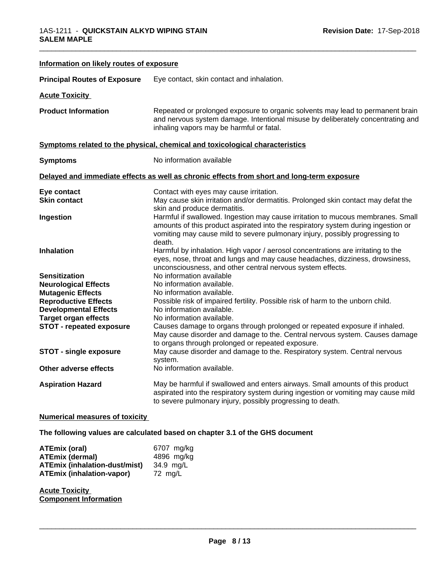| Information on likely routes of exposure                                                                                                                                                                                                          |                                                                                                                                                                                                                                                                                                                                                                                                                                                                                                                                |
|---------------------------------------------------------------------------------------------------------------------------------------------------------------------------------------------------------------------------------------------------|--------------------------------------------------------------------------------------------------------------------------------------------------------------------------------------------------------------------------------------------------------------------------------------------------------------------------------------------------------------------------------------------------------------------------------------------------------------------------------------------------------------------------------|
| <b>Principal Routes of Exposure</b>                                                                                                                                                                                                               | Eye contact, skin contact and inhalation.                                                                                                                                                                                                                                                                                                                                                                                                                                                                                      |
| <b>Acute Toxicity</b>                                                                                                                                                                                                                             |                                                                                                                                                                                                                                                                                                                                                                                                                                                                                                                                |
| <b>Product Information</b>                                                                                                                                                                                                                        | Repeated or prolonged exposure to organic solvents may lead to permanent brain<br>and nervous system damage. Intentional misuse by deliberately concentrating and<br>inhaling vapors may be harmful or fatal.                                                                                                                                                                                                                                                                                                                  |
|                                                                                                                                                                                                                                                   | Symptoms related to the physical, chemical and toxicological characteristics                                                                                                                                                                                                                                                                                                                                                                                                                                                   |
| <b>Symptoms</b>                                                                                                                                                                                                                                   | No information available                                                                                                                                                                                                                                                                                                                                                                                                                                                                                                       |
|                                                                                                                                                                                                                                                   | Delayed and immediate effects as well as chronic effects from short and long-term exposure                                                                                                                                                                                                                                                                                                                                                                                                                                     |
| Eye contact<br><b>Skin contact</b>                                                                                                                                                                                                                | Contact with eyes may cause irritation.<br>May cause skin irritation and/or dermatitis. Prolonged skin contact may defat the<br>skin and produce dermatitis.                                                                                                                                                                                                                                                                                                                                                                   |
| Ingestion                                                                                                                                                                                                                                         | Harmful if swallowed. Ingestion may cause irritation to mucous membranes. Small<br>amounts of this product aspirated into the respiratory system during ingestion or<br>vomiting may cause mild to severe pulmonary injury, possibly progressing to<br>death.                                                                                                                                                                                                                                                                  |
| Inhalation                                                                                                                                                                                                                                        | Harmful by inhalation. High vapor / aerosol concentrations are irritating to the<br>eyes, nose, throat and lungs and may cause headaches, dizziness, drowsiness,<br>unconsciousness, and other central nervous system effects.                                                                                                                                                                                                                                                                                                 |
| <b>Sensitization</b><br><b>Neurological Effects</b><br><b>Mutagenic Effects</b><br><b>Reproductive Effects</b><br><b>Developmental Effects</b><br><b>Target organ effects</b><br><b>STOT - repeated exposure</b><br><b>STOT - single exposure</b> | No information available<br>No information available.<br>No information available.<br>Possible risk of impaired fertility. Possible risk of harm to the unborn child.<br>No information available.<br>No information available.<br>Causes damage to organs through prolonged or repeated exposure if inhaled.<br>May cause disorder and damage to the. Central nervous system. Causes damage<br>to organs through prolonged or repeated exposure.<br>May cause disorder and damage to the. Respiratory system. Central nervous |
| Other adverse effects                                                                                                                                                                                                                             | system.<br>No information available.                                                                                                                                                                                                                                                                                                                                                                                                                                                                                           |
| <b>Aspiration Hazard</b>                                                                                                                                                                                                                          | May be harmful if swallowed and enters airways. Small amounts of this product<br>aspirated into the respiratory system during ingestion or vomiting may cause mild<br>to severe pulmonary injury, possibly progressing to death.                                                                                                                                                                                                                                                                                               |
| <b>Numerical measures of toxicity</b>                                                                                                                                                                                                             |                                                                                                                                                                                                                                                                                                                                                                                                                                                                                                                                |

# **The following values are calculated based on chapter 3.1 of the GHS document**

| ATEmix (oral)                        | 6707 mg/kg |
|--------------------------------------|------------|
| <b>ATEmix (dermal)</b>               | 4896 mg/kg |
| <b>ATEmix (inhalation-dust/mist)</b> | 34.9 ma/L  |
| <b>ATEmix (inhalation-vapor)</b>     | 72 ma/L    |

**Acute Toxicity Component Information**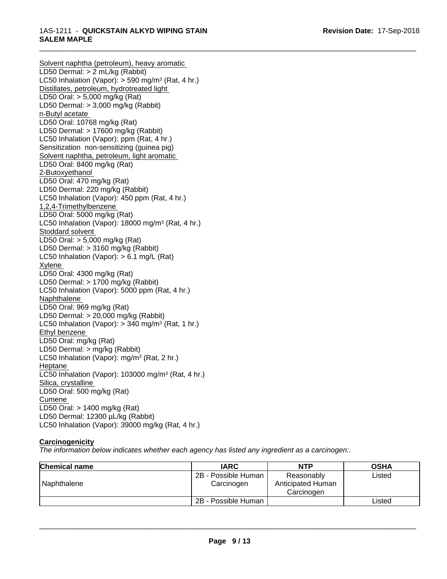Solvent naphtha (petroleum), heavy aromatic LD50 Dermal: > 2 mL/kg (Rabbit) LC50 Inhalation (Vapor): > 590 mg/m<sup>3</sup> (Rat, 4 hr.) Distillates, petroleum, hydrotreated light LD50 Oral: > 5,000 mg/kg (Rat) LD50 Dermal: > 3,000 mg/kg (Rabbit) n-Butyl acetate LD50 Oral: 10768 mg/kg (Rat) LD50 Dermal: > 17600 mg/kg (Rabbit) LC50 Inhalation (Vapor): ppm (Rat, 4 hr.) Sensitization non-sensitizing (guinea pig) Solvent naphtha, petroleum, light aromatic LD50 Oral: 8400 mg/kg (Rat) 2-Butoxyethanol LD50 Oral: 470 mg/kg (Rat) LD50 Dermal: 220 mg/kg (Rabbit) LC50 Inhalation (Vapor): 450 ppm (Rat, 4 hr.) 1,2,4-Trimethylbenzene LD50 Oral: 5000 mg/kg (Rat) LC50 Inhalation (Vapor): 18000 mg/m<sup>3</sup> (Rat, 4 hr.) Stoddard solvent LD50 Oral: > 5,000 mg/kg (Rat) LD50 Dermal: > 3160 mg/kg (Rabbit) LC50 Inhalation (Vapor): > 6.1 mg/L (Rat) Xylene LD50 Oral: 4300 mg/kg (Rat) LD50 Dermal: > 1700 mg/kg (Rabbit) LC50 Inhalation (Vapor): 5000 ppm (Rat, 4 hr.) Naphthalene LD50 Oral: 969 mg/kg (Rat) LD50 Dermal: > 20,000 mg/kg (Rabbit) LC50 Inhalation (Vapor): > 340 mg/m<sup>3</sup> (Rat, 1 hr.) Ethyl benzene LD50 Oral: mg/kg (Rat) LD50 Dermal: > mg/kg (Rabbit) LC50 Inhalation (Vapor): mg/m<sup>3</sup> (Rat, 2 hr.) Heptane LC50 Inhalation (Vapor): 103000 mg/m<sup>3</sup> (Rat, 4 hr.) Silica, crystalline LD50 Oral: 500 mg/kg (Rat) Cumene LD50 Oral: > 1400 mg/kg (Rat) LD50 Dermal: 12300 µL/kg (Rabbit) LC50 Inhalation (Vapor): 39000 mg/kg (Rat, 4 hr.)

# **Carcinogenicity**

*The information below indicateswhether each agency has listed any ingredient as a carcinogen:.*

| <b>Chemical name</b> | <b>IARC</b>                       | <b>NTP</b>                                    | <b>OSHA</b> |
|----------------------|-----------------------------------|-----------------------------------------------|-------------|
| Naphthalene          | 2B - Possible Human<br>Carcinogen | Reasonably<br>Anticipated Human<br>Carcinoɑen | Listed      |
|                      | 2B - Possible Human               |                                               | Listed      |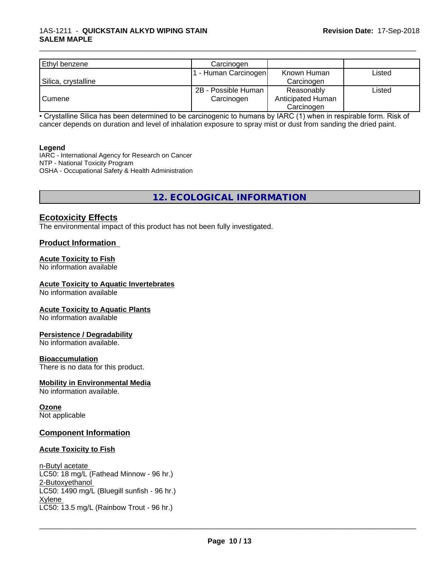| Ethyl benzene       | Carcinogen          |                   |        |
|---------------------|---------------------|-------------------|--------|
|                     | - Human Carcinogen  | Known Human       | ∟isted |
| Silica, crystalline |                     | Carcinogen        |        |
|                     | 2B - Possible Human | Reasonably        | Listed |
| Cumene              | Carcinogen          | Anticipated Human |        |
|                     |                     | Carcinogen        |        |

• Crystalline Silica has been determined to be carcinogenic to humans by IARC (1) when in respirable form. Risk of cancer depends on duration and level of inhalation exposure to spray mist or dust from sanding the dried paint.

#### **Legend**

IARC - International Agency for Research on Cancer NTP - National Toxicity Program OSHA - Occupational Safety & Health Administration

# **12. ECOLOGICAL INFORMATION**

### **Ecotoxicity Effects**

The environmental impact of this product has not been fully investigated.

#### **Product Information**

#### **Acute Toxicity to Fish**

No information available

#### **Acute Toxicity to Aquatic Invertebrates**

No information available

#### **Acute Toxicity to Aquatic Plants**

No information available

#### **Persistence / Degradability**

No information available.

#### **Bioaccumulation**

There is no data for this product.

#### **Mobility in Environmental Media**

No information available.

#### **Ozone** Not applicable

# **Component Information**

#### **Acute Toxicity to Fish**

n-Butyl acetate LC50: 18 mg/L (Fathead Minnow - 96 hr.) 2-Butoxyethanol LC50: 1490 mg/L (Bluegill sunfish - 96 hr.) Xylene \_\_\_\_\_\_\_\_\_\_\_\_\_\_\_\_\_\_\_\_\_\_\_\_\_\_\_\_\_\_\_\_\_\_\_\_\_\_\_\_\_\_\_\_\_\_\_\_\_\_\_\_\_\_\_\_\_\_\_\_\_\_\_\_\_\_\_\_\_\_\_\_\_\_\_\_\_\_\_\_\_\_\_\_\_\_\_\_\_\_\_\_\_ LC50: 13.5 mg/L (Rainbow Trout - 96 hr.)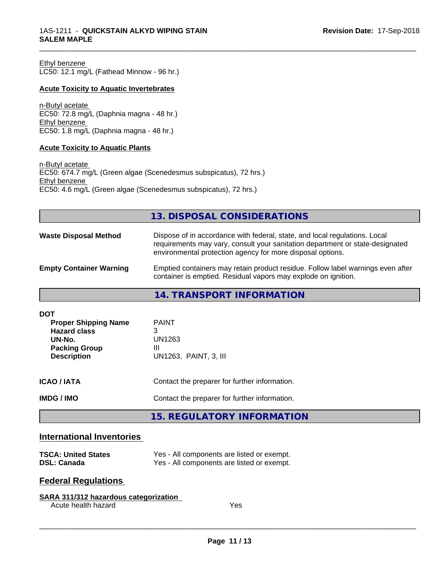Ethyl benzene LC50: 12.1 mg/L (Fathead Minnow - 96 hr.)

#### **Acute Toxicity to Aquatic Invertebrates**

n-Butyl acetate EC50: 72.8 mg/L (Daphnia magna - 48 hr.) Ethyl benzene EC50: 1.8 mg/L (Daphnia magna - 48 hr.)

#### **Acute Toxicity to Aquatic Plants**

n-Butyl acetate EC50: 674.7 mg/L (Green algae (Scenedesmus subspicatus), 72 hrs.) Ethyl benzene EC50: 4.6 mg/L (Green algae (Scenedesmus subspicatus), 72 hrs.)

### **13. DISPOSAL CONSIDERATIONS**

\_\_\_\_\_\_\_\_\_\_\_\_\_\_\_\_\_\_\_\_\_\_\_\_\_\_\_\_\_\_\_\_\_\_\_\_\_\_\_\_\_\_\_\_\_\_\_\_\_\_\_\_\_\_\_\_\_\_\_\_\_\_\_\_\_\_\_\_\_\_\_\_\_\_\_\_\_\_\_\_\_\_\_\_\_\_\_\_\_\_\_\_\_

| <b>Waste Disposal Method</b>   | Dispose of in accordance with federal, state, and local regulations. Local<br>requirements may vary, consult your sanitation department or state-designated<br>environmental protection agency for more disposal options. |
|--------------------------------|---------------------------------------------------------------------------------------------------------------------------------------------------------------------------------------------------------------------------|
| <b>Empty Container Warning</b> | Emptied containers may retain product residue. Follow label warnings even after<br>container is emptied. Residual vapors may explode on ignition.                                                                         |

# **14. TRANSPORT INFORMATION**

| <b>DOT</b><br><b>Proper Shipping Name</b><br><b>Hazard class</b><br>UN-No.<br><b>Packing Group</b><br><b>Description</b> | <b>PAINT</b><br>3<br>UN1263<br>Ш<br>UN1263, PAINT, 3, III |
|--------------------------------------------------------------------------------------------------------------------------|-----------------------------------------------------------|
| <b>ICAO/IATA</b>                                                                                                         | Contact the preparer for further information.             |
| <b>IMDG / IMO</b>                                                                                                        | Contact the preparer for further information.             |
|                                                                                                                          | 15. REGULATORY INFORMATION                                |

#### **International Inventories**

| <b>TSCA: United States</b> | Yes - All components are listed or exempt. |
|----------------------------|--------------------------------------------|
| <b>DSL: Canada</b>         | Yes - All components are listed or exempt. |

# **Federal Regulations**

| SARA 311/312 hazardous categorization |     |  |
|---------------------------------------|-----|--|
| Acute health hazard                   | Yes |  |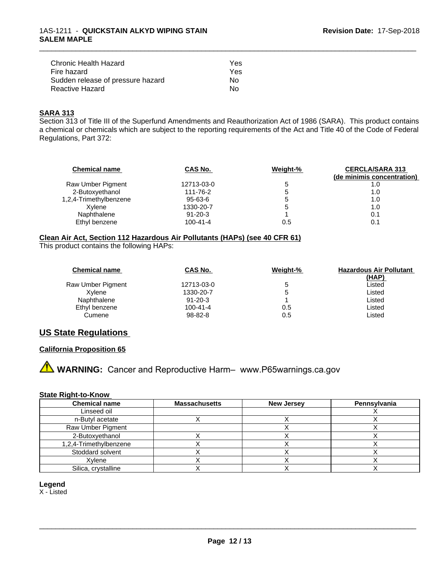| Chronic Health Hazard             | Yes |
|-----------------------------------|-----|
| Fire hazard                       | Yes |
| Sudden release of pressure hazard | Nο  |
| Reactive Hazard                   | N٥  |

#### **SARA 313**

Section 313 of Title III of the Superfund Amendments and Reauthorization Act of 1986 (SARA). This product contains a chemical or chemicals which are subject to the reporting requirements of the Act and Title 40 of the Code of Federal Regulations, Part 372:

\_\_\_\_\_\_\_\_\_\_\_\_\_\_\_\_\_\_\_\_\_\_\_\_\_\_\_\_\_\_\_\_\_\_\_\_\_\_\_\_\_\_\_\_\_\_\_\_\_\_\_\_\_\_\_\_\_\_\_\_\_\_\_\_\_\_\_\_\_\_\_\_\_\_\_\_\_\_\_\_\_\_\_\_\_\_\_\_\_\_\_\_\_

| <b>Chemical name</b>   | CAS No.        | Weight-%     | <b>CERCLA/SARA 313</b><br>(de minimis concentration) |
|------------------------|----------------|--------------|------------------------------------------------------|
| Raw Umber Pigment      | 12713-03-0     |              | 1.0                                                  |
| 2-Butoxyethanol        | 111-76-2       | <sup>5</sup> | 1.0                                                  |
| 1,2,4-Trimethylbenzene | 95-63-6        | <sup>5</sup> | 1.0                                                  |
| Xvlene                 | 1330-20-7      | <sup>5</sup> | 1.0                                                  |
| Naphthalene            | $91 - 20 - 3$  |              | 0.1                                                  |
| Ethyl benzene          | $100 - 41 - 4$ | 0.5          | 0.1                                                  |

#### **Clean Air Act,Section 112 Hazardous Air Pollutants (HAPs) (see 40 CFR 61)**

This product contains the following HAPs:

| <b>Chemical name</b> | <b>CAS No.</b> | Weight-% | <b>Hazardous Air Pollutant</b> |
|----------------------|----------------|----------|--------------------------------|
|                      |                |          | (HAP)                          |
| Raw Umber Pigment    | 12713-03-0     |          | ∟isted                         |
| Xvlene               | 1330-20-7      | đ        | ∟isted                         |
| Naphthalene          | $91 - 20 - 3$  |          | ∟isted                         |
| Ethyl benzene        | $100 - 41 - 4$ | 0.5      | ∟isted                         |
| Cumene               | 98-82-8        | 0.5      | _isted                         |

### **US State Regulations**

#### **California Proposition 65**

# **A WARNING:** Cancer and Reproductive Harm– www.P65warnings.ca.gov

#### **State Right-to-Know**

| <b>Chemical name</b>   | <b>Massachusetts</b> | <b>New Jersey</b> | Pennsylvania |
|------------------------|----------------------|-------------------|--------------|
| Linseed oil            |                      |                   |              |
| n-Butyl acetate        |                      |                   |              |
| Raw Umber Pigment      |                      |                   |              |
| 2-Butoxyethanol        |                      |                   |              |
| 1,2,4-Trimethylbenzene |                      |                   |              |
| Stoddard solvent       |                      |                   |              |
| Xvlene                 |                      |                   |              |
| Silica, crystalline    |                      |                   |              |

#### **Legend**

X - Listed